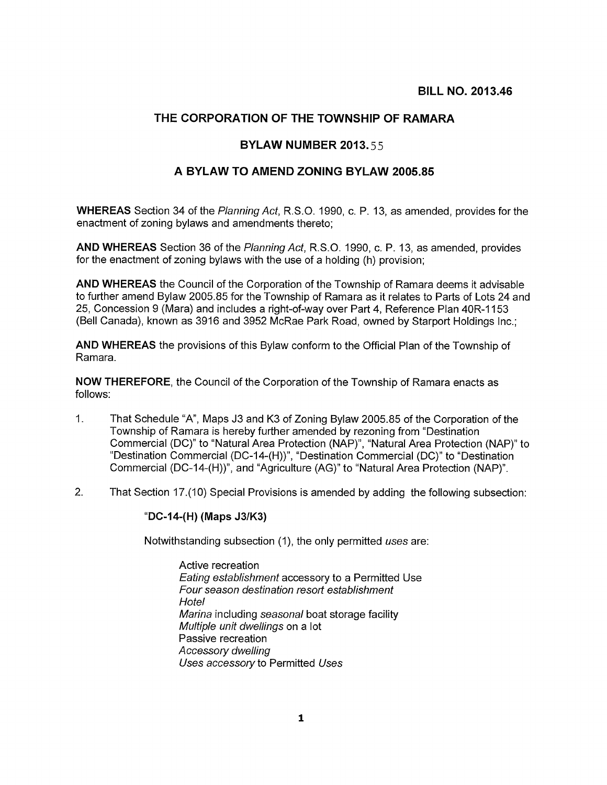## THE CORPORATION OF THE TOWNSHIP OF RAMARA

## BYLAW NUMBER 2013.55

## A BYLAW TO AMEND ZONING BYLAW 2005.85

WHEREAS Section 34 of the Planning Act, R.S.O. 1990, c. P. 13, as amended, provides for the enactment of zoning bylaws and amendments thereto;

AND WHEREAS Section 36 of the Planning Act, R.S.O. 1990, c. P. 13, as amended, provides for the enactment of zoning bylaws with the use of a holding (h) provision;

AND WHEREAS the Council of the Corporation of the Township of Ramara deems it advisable to further amend Bylaw 2005.85 for the Township of Ramara as it relates to Parts of Lots 24 and 25, Concession 9 (Mara) and includes a right-of-way over Part 4, Reference Plan 40R-1153 (Bell Canada), known as 3916 and 3952 McRae Park Road, owned by Starport Holdings Inc.;

AND WHEREAS the provisions of this Bylaw conform to the Official Plan of the Township of Ramara.

NOW THEREFORE, the Council of the Corporation of the Township of Ramara enacts as follows:

- 1. That Schedule "A", Maps J3 and K3 of Zoning Bylaw 2005.85 of the Corporation of the Township of Ramara is hereby further amended by rezoning from "Destination Commercial (DC)" to "Natural Area Protection (NAP)", "Natural Area Protection (NAP)" to "Destination Commercial (DC-14-(H))", "Destination Commercial (DC)" to "Destination Commercial (DC-14-(H))", and "Agriculture (AG)" to "Natural Area Protection (NAP)".
- 2. That Section 17.(10) Special Provisions is amended by adding the following subsection:

## "DC-14-(H) (Maps J31K3)

Notwithstanding subsection (1), the only permitted uses are:

Active recreation Eating establishment accessory to a Permitted Use Four season destination resort establishment **Hotel** Marina including seasonal boat storage facility Multiple unit dwellings on a lot Passive recreation Accessory dwelling Uses accessory to Permitted Uses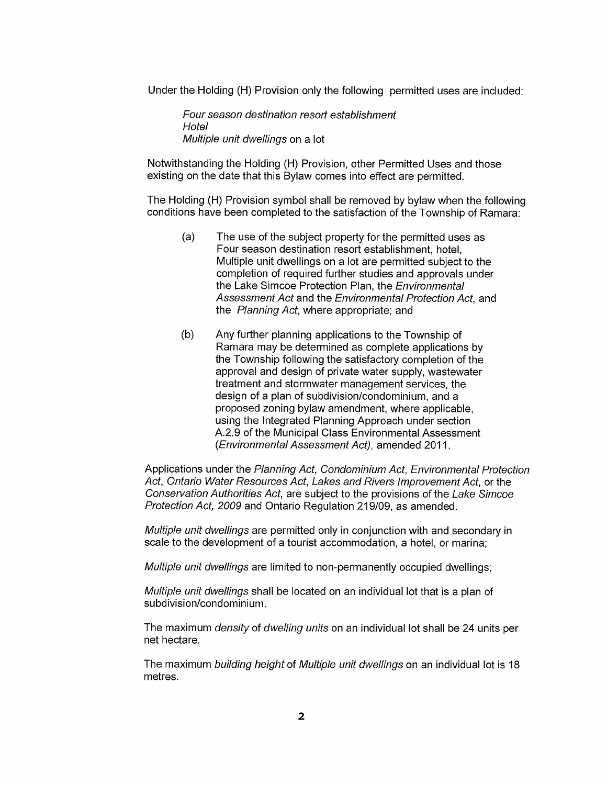Under the Holding (H) Provision only the following permitted uses are included:

Four season destination resort establishment **Hotel** Multiple unit dwellings on a lot

Notwithstanding the Holding (H) Provision, other Permitted Uses and those existing on the date that this Bylaw comes into effect are permitted.

The Holding (H) Provision symbol shall be removed by bylaw when the following conditions have been completed to the satisfaction of the Township of Ramara:

- (a) The use of the subject property for the permitted uses as Four season destination resort establishment, hotel, Multiple unit dwellings on a lot are permitted subject to the completion of required further studies and approvals under the Lake Simcoe Protection Plan, the Environmental Assessment Act and the Environmental Protection Act, and the Planning Act, where appropriate; and
- (b) Any further planning applications to the Township of Ramara may be determined as complete applications by the Township following the satisfactory completion of the approval and design of private water supply, wastewater treatment and stormwater management services, the design of a plan of subdivision/condominium, and a proposed zoning bylaw amendment, where applicable, using the Integrated Planning Approach under section A.2.9 of the Municipal Class Environmental Assessment (Environmental Assessment Act), amended 2011.

Applications under the Planning Act, Condominium Act, Environmental Protection Act, Ontario Water Resources Act, Lakes and Rivers Improvement Act, or the Conservation Authorities Act, are subject to the provisions of the Lake Simcoe Protection Act, 2009 and Ontario Regulation 219/09, as amended.

Multiple unit dwellings are permitted only in conjunction with and secondary in scale to the development of a tourist accommodation, a hotel, or marina;

Multiple unit dwellings are limited to non-permanently occupied dwellings;

Multiple unit dwellings shall be located on an individual lot that is a plan of subdivision/condominium.

The maximum *density* of *dwelling units* on an individual lot shall be 24 units per net hectare.

The maximum building height of Multiple unit dwellings on an individual lot is 18 metres.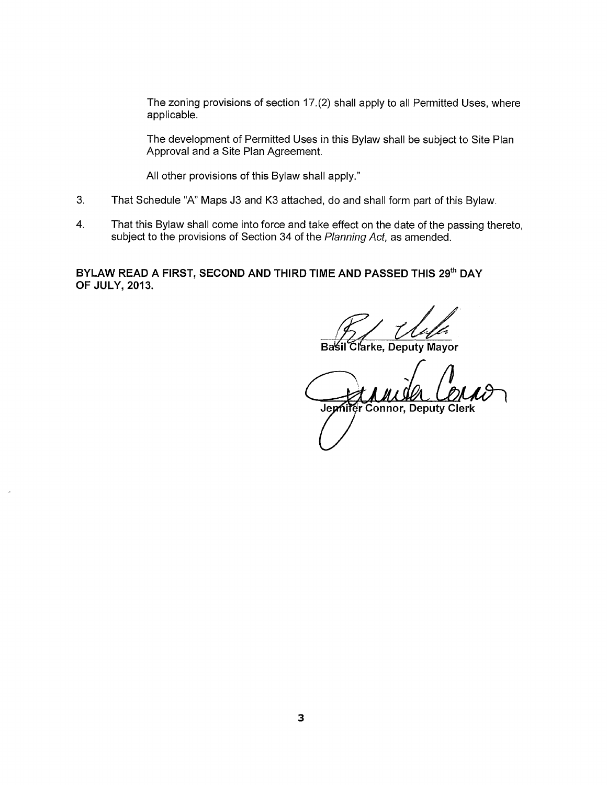The zoning provisions of section 17.(2) shall apply to all Permitted Uses, where applicable.

The development of Permitted Uses in this Bylaw shall be subject to Site Plan Approval and a Site Plan Agreement.

All other provisions of this Bylaw shall apply."

- 3. That Schedule "A" Maps J3 and K3 attached, do and shall form part of this Bylaw.
- 4. That this Bylaw shall come into force and take effect on the date of the passing thereto, subject to the provisions of Section 34 of the Planning Act, as amended.

BYLAW READ A FIRST, SECOND AND THIRD TIME AND PASSED THIS 29th DAY OF JULY, 2013.

*Koleka University*<br>Sil Clarke, Deputy Mayor

**Basil** 

n Ja Jephiter Connor, Deputy Clerk

3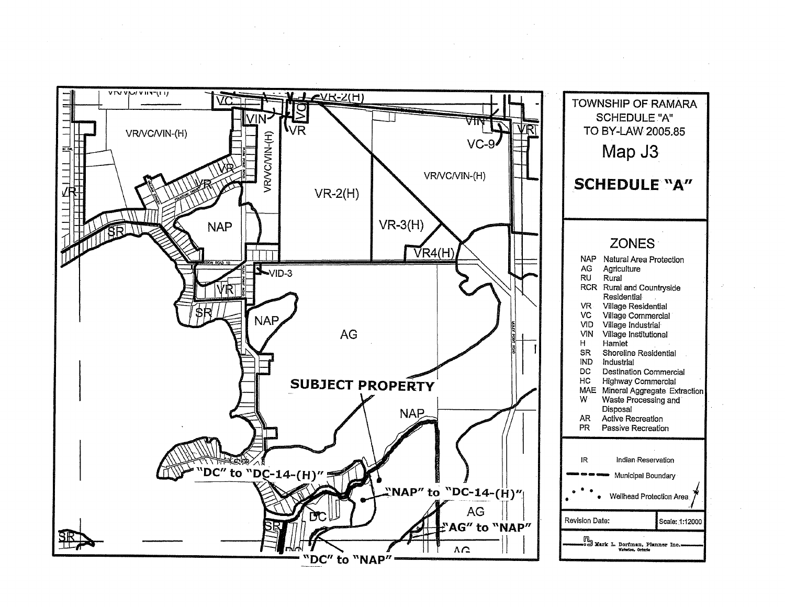

 $\sim 10^{-1}$